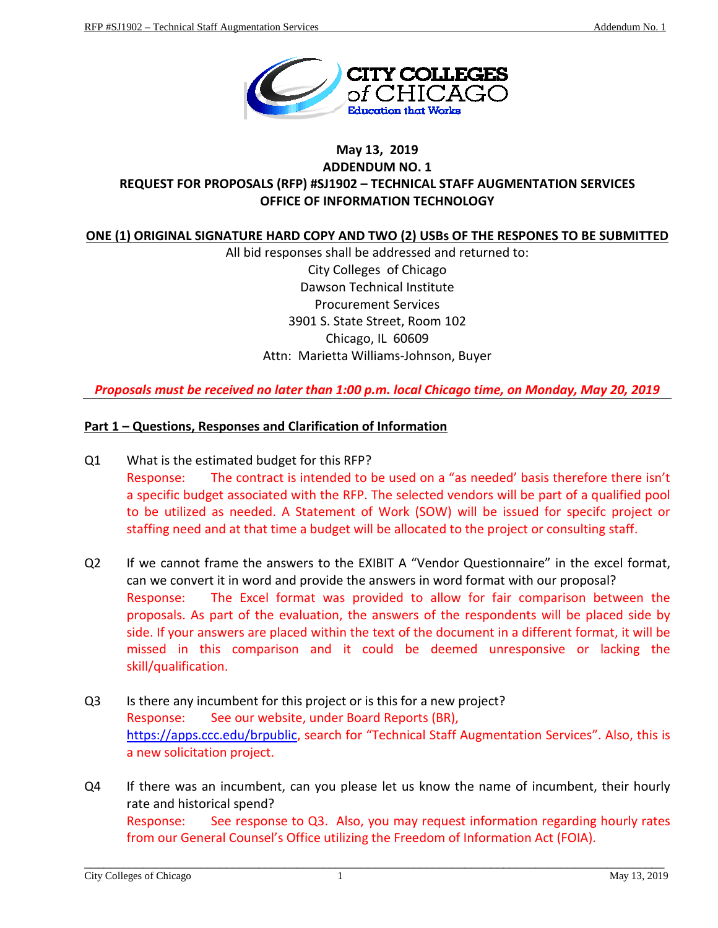

# **May 13, 2019 ADDENDUM NO. 1 REQUEST FOR PROPOSALS (RFP) #SJ1902 – TECHNICAL STAFF AUGMENTATION SERVICES OFFICE OF INFORMATION TECHNOLOGY**

# **ONE (1) ORIGINAL SIGNATURE HARD COPY AND TWO (2) USBs OF THE RESPONES TO BE SUBMITTED**

All bid responses shall be addressed and returned to: City Colleges of Chicago Dawson Technical Institute Procurement Services 3901 S. State Street, Room 102 Chicago, IL 60609 Attn: Marietta Williams-Johnson, Buyer

*Proposals must be received no later than 1:00 p.m. local Chicago time, on Monday, May 20, 2019*

#### **Part 1 – Questions, Responses and Clarification of Information**

- Q1 What is the estimated budget for this RFP? Response: The contract is intended to be used on a "as needed' basis therefore there isn't a specific budget associated with the RFP. The selected vendors will be part of a qualified pool to be utilized as needed. A Statement of Work (SOW) will be issued for specifc project or staffing need and at that time a budget will be allocated to the project or consulting staff.
- Q2 If we cannot frame the answers to the EXIBIT A "Vendor Questionnaire" in the excel format, can we convert it in word and provide the answers in word format with our proposal? Response: The Excel format was provided to allow for fair comparison between the proposals. As part of the evaluation, the answers of the respondents will be placed side by side. If your answers are placed within the text of the document in a different format, it will be missed in this comparison and it could be deemed unresponsive or lacking the skill/qualification.
- Q3 Is there any incumbent for this project or is this for a new project? Response: See our website, under Board Reports (BR), [https://apps.ccc.edu/brpublic,](https://apps.ccc.edu/brpublic) search for "Technical Staff Augmentation Services". Also, this is a new solicitation project.
- Q4 If there was an incumbent, can you please let us know the name of incumbent, their hourly rate and historical spend? Response: See response to Q3. Also, you may request information regarding hourly rates from our General Counsel's Office utilizing the Freedom of Information Act (FOIA).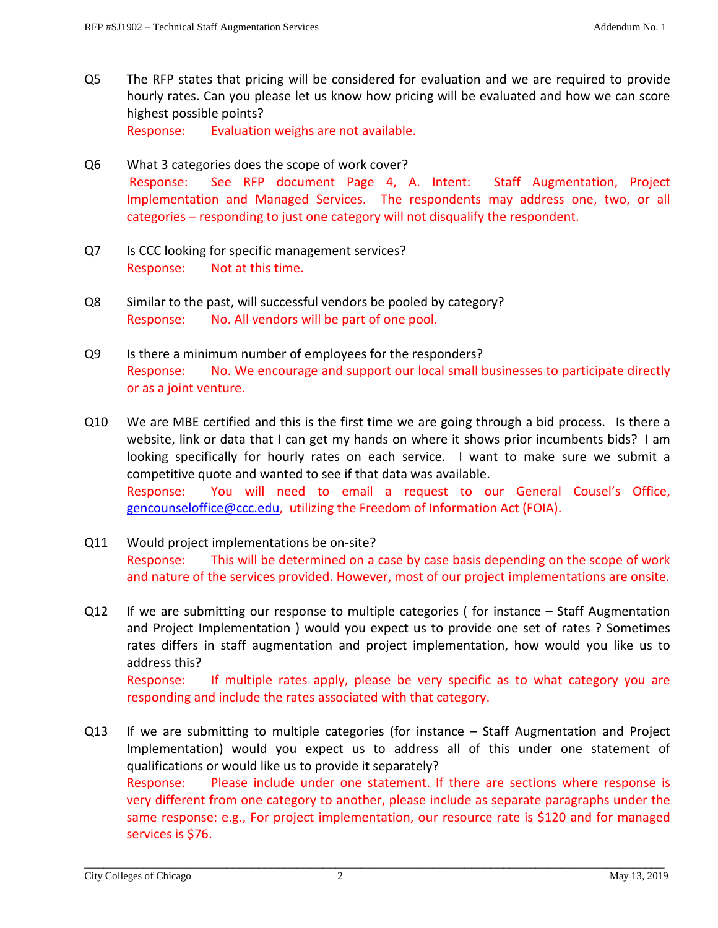- Q5 The RFP states that pricing will be considered for evaluation and we are required to provide hourly rates. Can you please let us know how pricing will be evaluated and how we can score highest possible points? Response: Evaluation weighs are not available.
- Q6 What 3 categories does the scope of work cover? Response: See RFP document Page 4, A. Intent: Staff Augmentation, Project Implementation and Managed Services. The respondents may address one, two, or all categories – responding to just one category will not disqualify the respondent.
- Q7 Is CCC looking for specific management services? Response: Not at this time.
- Q8 Similar to the past, will successful vendors be pooled by category? Response: No. All vendors will be part of one pool.
- Q9 Is there a minimum number of employees for the responders? Response: No. We encourage and support our local small businesses to participate directly or as a joint venture.
- Q10 We are MBE certified and this is the first time we are going through a bid process. Is there a website, link or data that I can get my hands on where it shows prior incumbents bids? I am looking specifically for hourly rates on each service. I want to make sure we submit a competitive quote and wanted to see if that data was available. Response: You will need to email a request to our General Cousel's Office, [gencounseloffice@ccc.edu,](mailto:gencounseloffice@ccc.edu) utilizing the Freedom of Information Act (FOIA).
- Q11 Would project implementations be on-site? Response: This will be determined on a case by case basis depending on the scope of work and nature of the services provided. However, most of our project implementations are onsite.
- Q12 If we are submitting our response to multiple categories ( for instance Staff Augmentation and Project Implementation ) would you expect us to provide one set of rates ? Sometimes rates differs in staff augmentation and project implementation, how would you like us to address this?

Response: If multiple rates apply, please be very specific as to what category you are responding and include the rates associated with that category.

Q13 If we are submitting to multiple categories (for instance – Staff Augmentation and Project Implementation) would you expect us to address all of this under one statement of qualifications or would like us to provide it separately? Response: Please include under one statement. If there are sections where response is very different from one category to another, please include as separate paragraphs under the same response: e.g., For project implementation, our resource rate is \$120 and for managed services is \$76.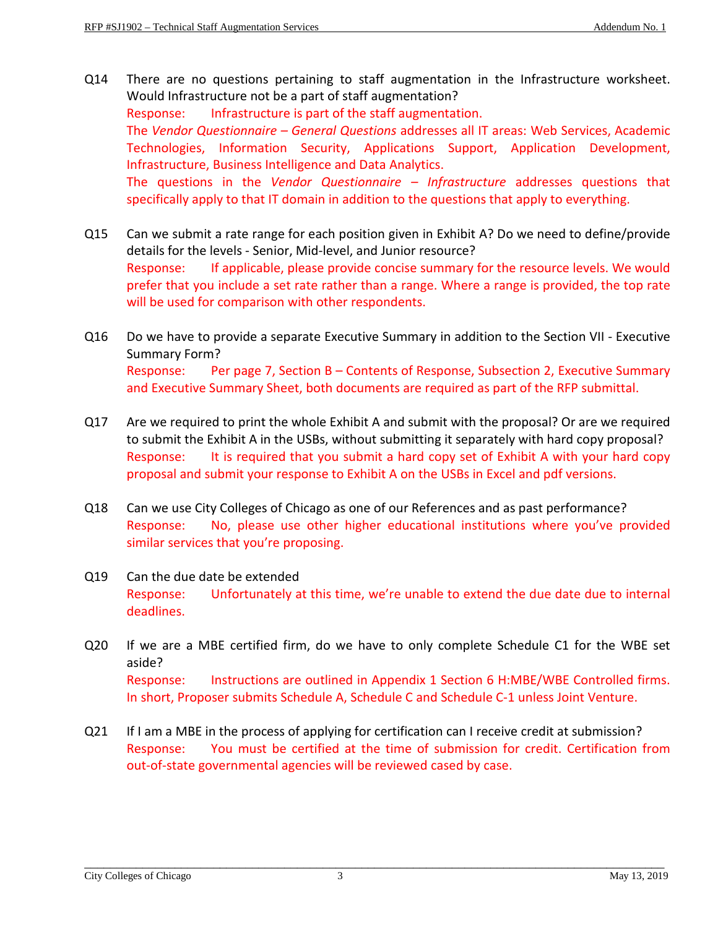- Q14 There are no questions pertaining to staff augmentation in the Infrastructure worksheet. Would Infrastructure not be a part of staff augmentation? Response: Infrastructure is part of the staff augmentation. The *Vendor Questionnaire – General Questions* addresses all IT areas: Web Services, Academic Technologies, Information Security, Applications Support, Application Development, Infrastructure, Business Intelligence and Data Analytics. The questions in the *Vendor Questionnaire – Infrastructure* addresses questions that specifically apply to that IT domain in addition to the questions that apply to everything.
- Q15 Can we submit a rate range for each position given in Exhibit A? Do we need to define/provide details for the levels - Senior, Mid-level, and Junior resource? Response: If applicable, please provide concise summary for the resource levels. We would prefer that you include a set rate rather than a range. Where a range is provided, the top rate will be used for comparison with other respondents.
- Q16 Do we have to provide a separate Executive Summary in addition to the Section VII Executive Summary Form? Response: Per page 7, Section B – Contents of Response, Subsection 2, Executive Summary and Executive Summary Sheet, both documents are required as part of the RFP submittal.
- Q17 Are we required to print the whole Exhibit A and submit with the proposal? Or are we required to submit the Exhibit A in the USBs, without submitting it separately with hard copy proposal? Response: It is required that you submit a hard copy set of Exhibit A with your hard copy proposal and submit your response to Exhibit A on the USBs in Excel and pdf versions.
- Q18 Can we use City Colleges of Chicago as one of our References and as past performance? Response: No, please use other higher educational institutions where you've provided similar services that you're proposing.
- Q19 Can the due date be extended Response: Unfortunately at this time, we're unable to extend the due date due to internal deadlines.
- Q20 If we are a MBE certified firm, do we have to only complete Schedule C1 for the WBE set aside? Response: Instructions are outlined in Appendix 1 Section 6 H:MBE/WBE Controlled firms. In short, Proposer submits Schedule A, Schedule C and Schedule C-1 unless Joint Venture.
- Q21 If I am a MBE in the process of applying for certification can I receive credit at submission? Response: You must be certified at the time of submission for credit. Certification from out-of-state governmental agencies will be reviewed cased by case.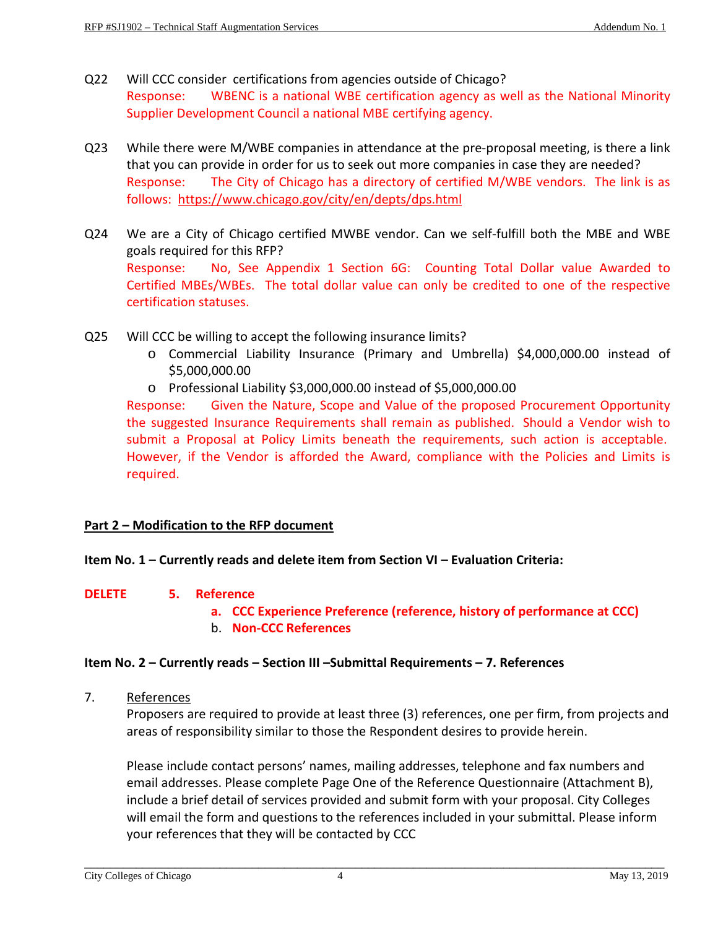- Q22 Will CCC consider certifications from agencies outside of Chicago? Response: WBENC is a national WBE certification agency as well as the National Minority Supplier Development Council a national MBE certifying agency.
- Q23 While there were M/WBE companies in attendance at the pre-proposal meeting, is there a link that you can provide in order for us to seek out more companies in case they are needed? Response: The City of Chicago has a directory of certified M/WBE vendors. The link is as follows:<https://www.chicago.gov/city/en/depts/dps.html>
- Q24 We are a City of Chicago certified MWBE vendor. Can we self-fulfill both the MBE and WBE goals required for this RFP? Response: No, See Appendix 1 Section 6G: Counting Total Dollar value Awarded to Certified MBEs/WBEs. The total dollar value can only be credited to one of the respective certification statuses.
- Q25 Will CCC be willing to accept the following insurance limits?
	- o Commercial Liability Insurance (Primary and Umbrella) \$4,000,000.00 instead of \$5,000,000.00
	- o Professional Liability \$3,000,000.00 instead of \$5,000,000.00

Response: Given the Nature, Scope and Value of the proposed Procurement Opportunity the suggested Insurance Requirements shall remain as published. Should a Vendor wish to submit a Proposal at Policy Limits beneath the requirements, such action is acceptable. However, if the Vendor is afforded the Award, compliance with the Policies and Limits is required.

# **Part 2 – Modification to the RFP document**

#### **Item No. 1 – Currently reads and delete item from Section VI – Evaluation Criteria:**

#### **DELETE 5. Reference**

- **a. CCC Experience Preference (reference, history of performance at CCC)**
- b. **Non-CCC References**

#### **Item No. 2 – Currently reads – Section III –Submittal Requirements – 7. References**

7. References

Proposers are required to provide at least three (3) references, one per firm, from projects and areas of responsibility similar to those the Respondent desires to provide herein.

Please include contact persons' names, mailing addresses, telephone and fax numbers and email addresses. Please complete Page One of the Reference Questionnaire (Attachment B), include a brief detail of services provided and submit form with your proposal. City Colleges will email the form and questions to the references included in your submittal. Please inform your references that they will be contacted by CCC

\_\_\_\_\_\_\_\_\_\_\_\_\_\_\_\_\_\_\_\_\_\_\_\_\_\_\_\_\_\_\_\_\_\_\_\_\_\_\_\_\_\_\_\_\_\_\_\_\_\_\_\_\_\_\_\_\_\_\_\_\_\_\_\_\_\_\_\_\_\_\_\_\_\_\_\_\_\_\_\_\_\_\_\_\_\_\_\_\_\_